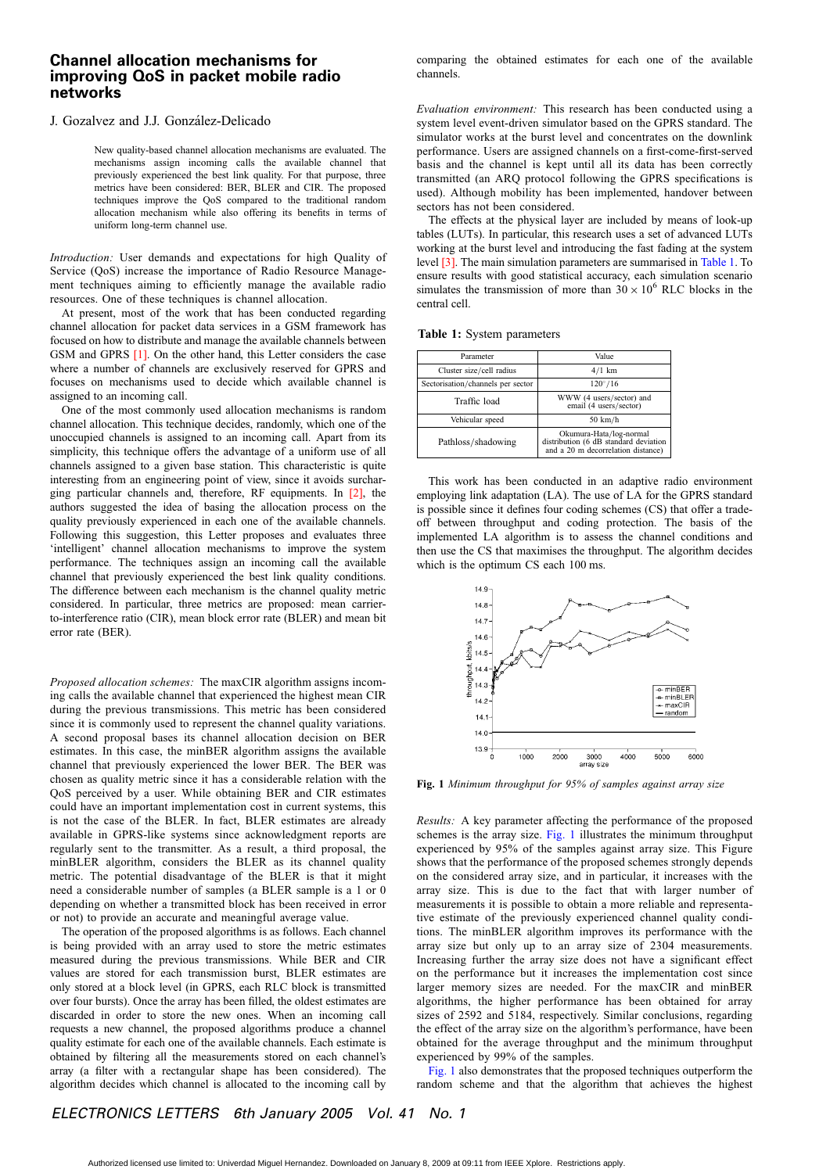## Channel allocation mechanisms for improving QoS in packet mobile radio networks

#### J. Gozalvez and J.J. González-Delicado

New quality-based channel allocation mechanisms are evaluated. The mechanisms assign incoming calls the available channel that previously experienced the best link quality. For that purpose, three metrics have been considered: BER, BLER and CIR. The proposed techniques improve the QoS compared to the traditional random allocation mechanism while also offering its benefits in terms of uniform long-term channel use.

Introduction: User demands and expectations for high Quality of Service (QoS) increase the importance of Radio Resource Management techniques aiming to efficiently manage the available radio resources. One of these techniques is channel allocation.

At present, most of the work that has been conducted regarding channel allocation for packet data services in a GSM framework has focused on how to distribute and manage the available channels between GSM and GPRS [1]. On the other hand, this Letter considers the case where a number of channels are exclusively reserved for GPRS and focuses on mechanisms used to decide which available channel is assigned to an incoming call.

One of the most commonly used allocation mechanisms is random channel allocation. This technique decides, randomly, which one of the unoccupied channels is assigned to an incoming call. Apart from its simplicity, this technique offers the advantage of a uniform use of all channels assigned to a given base station. This characteristic is quite interesting from an engineering point of view, since it avoids surcharging particular channels and, therefore, RF equipments. In [2], the authors suggested the idea of basing the allocation process on the quality previously experienced in each one of the available channels. Following this suggestion, this Letter proposes and evaluates three 'intelligent' channel allocation mechanisms to improve the system performance. The techniques assign an incoming call the available channel that previously experienced the best link quality conditions. The difference between each mechanism is the channel quality metric considered. In particular, three metrics are proposed: mean carrierto-interference ratio (CIR), mean block error rate (BLER) and mean bit error rate (BER).

Proposed allocation schemes: The maxCIR algorithm assigns incoming calls the available channel that experienced the highest mean CIR during the previous transmissions. This metric has been considered since it is commonly used to represent the channel quality variations. A second proposal bases its channel allocation decision on BER estimates. In this case, the minBER algorithm assigns the available channel that previously experienced the lower BER. The BER was chosen as quality metric since it has a considerable relation with the QoS perceived by a user. While obtaining BER and CIR estimates could have an important implementation cost in current systems, this is not the case of the BLER. In fact, BLER estimates are already available in GPRS-like systems since acknowledgment reports are regularly sent to the transmitter. As a result, a third proposal, the minBLER algorithm, considers the BLER as its channel quality metric. The potential disadvantage of the BLER is that it might need a considerable number of samples (a BLER sample is a 1 or 0 depending on whether a transmitted block has been received in error or not) to provide an accurate and meaningful average value.

The operation of the proposed algorithms is as follows. Each channel is being provided with an array used to store the metric estimates measured during the previous transmissions. While BER and CIR values are stored for each transmission burst, BLER estimates are only stored at a block level (in GPRS, each RLC block is transmitted over four bursts). Once the array has been filled, the oldest estimates are discarded in order to store the new ones. When an incoming call requests a new channel, the proposed algorithms produce a channel quality estimate for each one of the available channels. Each estimate is obtained by filtering all the measurements stored on each channel's array (a filter with a rectangular shape has been considered). The algorithm decides which channel is allocated to the incoming call by comparing the obtained estimates for each one of the available channels.

Evaluation environment: This research has been conducted using a system level event-driven simulator based on the GPRS standard. The simulator works at the burst level and concentrates on the downlink performance. Users are assigned channels on a first-come-first-served basis and the channel is kept until all its data has been correctly transmitted (an ARQ protocol following the GPRS specifications is used). Although mobility has been implemented, handover between sectors has not been considered.

The effects at the physical layer are included by means of look-up tables (LUTs). In particular, this research uses a set of advanced LUTs working at the burst level and introducing the fast fading at the system level [3]. The main simulation parameters are summarised in Table 1. To ensure results with good statistical accuracy, each simulation scenario simulates the transmission of more than  $30 \times 10^6$  RLC blocks in the central cell.

Table 1: System parameters

| Parameter                         | Value                                                                                                  |  |  |
|-----------------------------------|--------------------------------------------------------------------------------------------------------|--|--|
| Cluster size/cell radius          | $4/1$ km                                                                                               |  |  |
| Sectorisation/channels per sector | $120^{\circ}/16$                                                                                       |  |  |
| Traffic load                      | WWW (4 users/sector) and<br>email (4 users/sector)                                                     |  |  |
| Vehicular speed                   | $50 \text{ km/h}$                                                                                      |  |  |
| Pathloss/shadowing                | Okumura-Hata/log-normal<br>distribution (6 dB standard deviation<br>and a 20 m decorrelation distance) |  |  |

This work has been conducted in an adaptive radio environment employing link adaptation (LA). The use of LA for the GPRS standard is possible since it defines four coding schemes (CS) that offer a tradeoff between throughput and coding protection. The basis of the implemented LA algorithm is to assess the channel conditions and then use the CS that maximises the throughput. The algorithm decides which is the optimum CS each 100 ms.



Fig. 1 Minimum throughput for 95% of samples against array size

Results: A key parameter affecting the performance of the proposed schemes is the array size. Fig. 1 illustrates the minimum throughput experienced by 95% of the samples against array size. This Figure shows that the performance of the proposed schemes strongly depends on the considered array size, and in particular, it increases with the array size. This is due to the fact that with larger number of measurements it is possible to obtain a more reliable and representative estimate of the previously experienced channel quality conditions. The minBLER algorithm improves its performance with the array size but only up to an array size of 2304 measurements. Increasing further the array size does not have a significant effect on the performance but it increases the implementation cost since larger memory sizes are needed. For the maxCIR and minBER algorithms, the higher performance has been obtained for array sizes of 2592 and 5184, respectively. Similar conclusions, regarding the effect of the array size on the algorithm's performance, have been obtained for the average throughput and the minimum throughput experienced by 99% of the samples.

Fig. 1 also demonstrates that the proposed techniques outperform the random scheme and that the algorithm that achieves the highest

# ELECTRONICS LETTERS 6th January 2005 Vol. 41 No. 1